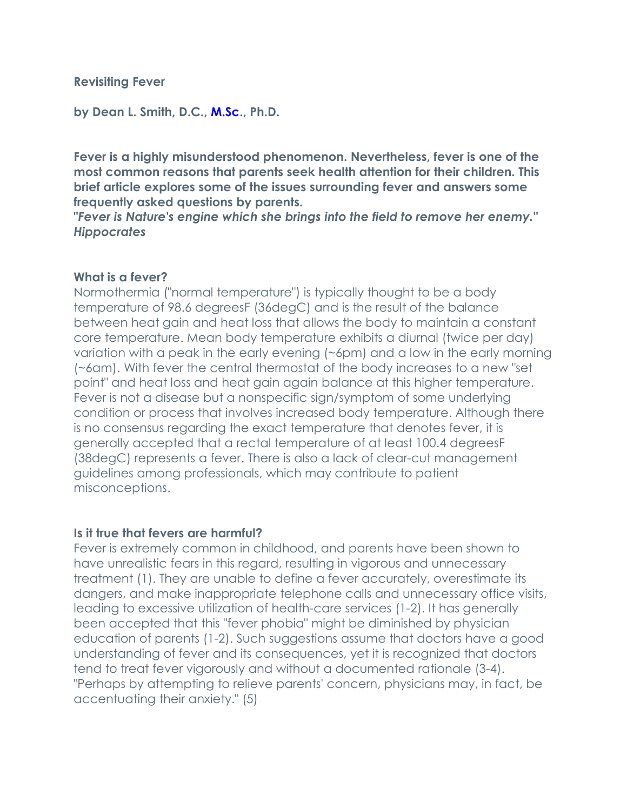## **Revisiting Fever**

**by Dean L. Smith, D.C., [M.Sc.](http://m.sc/), Ph.D.**

**Fever is a highly misunderstood phenomenon. Nevertheless, fever is one of the most common reasons that parents seek health attention for their children. This brief article explores some of the issues surrounding fever and answers some frequently asked questions by parents.**

**"***Fever is Nature's engine which she brings into the field to remove her enemy." Hippocrates*

## **What is a fever?**

Normothermia ("normal temperature") is typically thought to be a body temperature of 98.6 degreesF (36degC) and is the result of the balance between heat gain and heat loss that allows the body to maintain a constant core temperature. Mean body temperature exhibits a diurnal (twice per day) variation with a peak in the early evening (~6pm) and a low in the early morning (~6am). With fever the central thermostat of the body increases to a new "set point" and heat loss and heat gain again balance at this higher temperature. Fever is not a disease but a nonspecific sign/symptom of some underlying condition or process that involves increased body temperature. Although there is no consensus regarding the exact temperature that denotes fever, it is generally accepted that a rectal temperature of at least 100.4 degreesF (38degC) represents a fever. There is also a lack of clear-cut management guidelines among professionals, which may contribute to patient misconceptions.

#### **Is it true that fevers are harmful?**

Fever is extremely common in childhood, and parents have been shown to have unrealistic fears in this regard, resulting in vigorous and unnecessary treatment (1). They are unable to define a fever accurately, overestimate its dangers, and make inappropriate telephone calls and unnecessary office visits, leading to excessive utilization of health-care services (1-2). It has generally been accepted that this "fever phobia" might be diminished by physician education of parents (1-2). Such suggestions assume that doctors have a good understanding of fever and its consequences, yet it is recognized that doctors tend to treat fever vigorously and without a documented rationale (3-4). "Perhaps by attempting to relieve parents' concern, physicians may, in fact, be accentuating their anxiety." (5)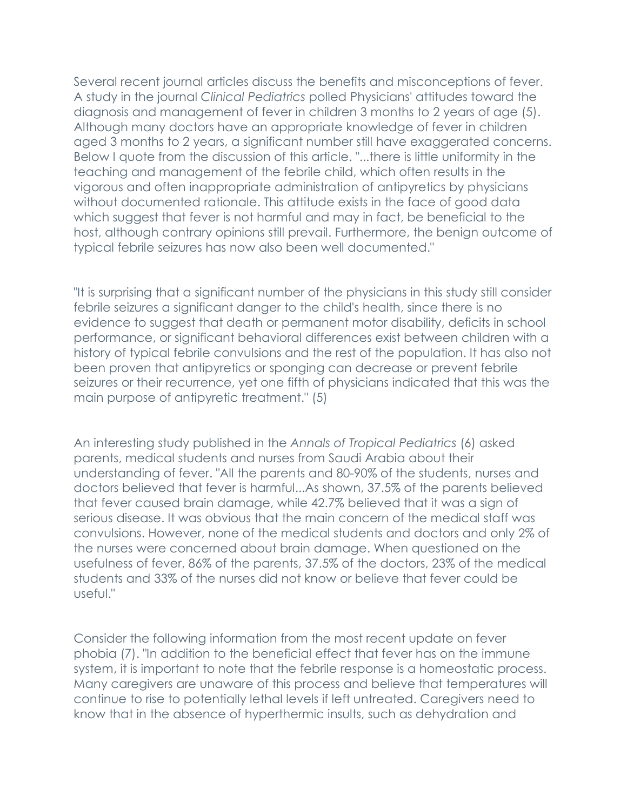Several recent journal articles discuss the benefits and misconceptions of fever. A study in the journal *Clinical Pediatrics* polled Physicians' attitudes toward the diagnosis and management of fever in children 3 months to 2 years of age (5). Although many doctors have an appropriate knowledge of fever in children aged 3 months to 2 years, a significant number still have exaggerated concerns. Below I quote from the discussion of this article. "...there is little uniformity in the teaching and management of the febrile child, which often results in the vigorous and often inappropriate administration of antipyretics by physicians without documented rationale. This attitude exists in the face of good data which suggest that fever is not harmful and may in fact, be beneficial to the host, although contrary opinions still prevail. Furthermore, the benign outcome of typical febrile seizures has now also been well documented."

"It is surprising that a significant number of the physicians in this study still consider febrile seizures a significant danger to the child's health, since there is no evidence to suggest that death or permanent motor disability, deficits in school performance, or significant behavioral differences exist between children with a history of typical febrile convulsions and the rest of the population. It has also not been proven that antipyretics or sponging can decrease or prevent febrile seizures or their recurrence, yet one fifth of physicians indicated that this was the main purpose of antipyretic treatment." (5)

An interesting study published in the *Annals of Tropical Pediatrics* (6) asked parents, medical students and nurses from Saudi Arabia about their understanding of fever. "All the parents and 80-90% of the students, nurses and doctors believed that fever is harmful...As shown, 37.5% of the parents believed that fever caused brain damage, while 42.7% believed that it was a sign of serious disease. It was obvious that the main concern of the medical staff was convulsions. However, none of the medical students and doctors and only 2% of the nurses were concerned about brain damage. When questioned on the usefulness of fever, 86% of the parents, 37.5% of the doctors, 23% of the medical students and 33% of the nurses did not know or believe that fever could be useful."

Consider the following information from the most recent update on fever phobia (7). "In addition to the beneficial effect that fever has on the immune system, it is important to note that the febrile response is a homeostatic process. Many caregivers are unaware of this process and believe that temperatures will continue to rise to potentially lethal levels if left untreated. Caregivers need to know that in the absence of hyperthermic insults, such as dehydration and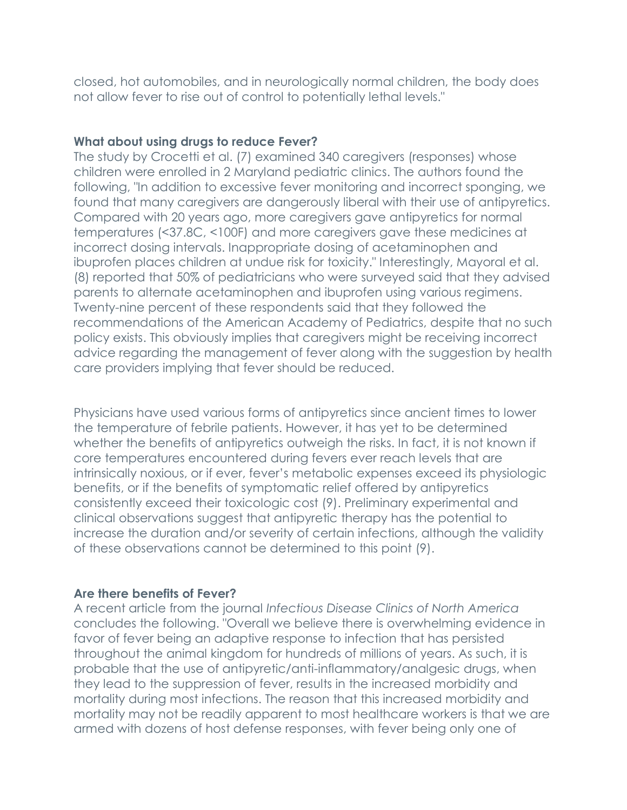closed, hot automobiles, and in neurologically normal children, the body does not allow fever to rise out of control to potentially lethal levels."

#### **What about using drugs to reduce Fever?**

The study by Crocetti et al. (7) examined 340 caregivers (responses) whose children were enrolled in 2 Maryland pediatric clinics. The authors found the following, "In addition to excessive fever monitoring and incorrect sponging, we found that many caregivers are dangerously liberal with their use of antipyretics. Compared with 20 years ago, more caregivers gave antipyretics for normal temperatures (<37.8C, <100F) and more caregivers gave these medicines at incorrect dosing intervals. Inappropriate dosing of acetaminophen and ibuprofen places children at undue risk for toxicity." Interestingly, Mayoral et al. (8) reported that 50% of pediatricians who were surveyed said that they advised parents to alternate acetaminophen and ibuprofen using various regimens. Twenty-nine percent of these respondents said that they followed the recommendations of the American Academy of Pediatrics, despite that no such policy exists. This obviously implies that caregivers might be receiving incorrect advice regarding the management of fever along with the suggestion by health care providers implying that fever should be reduced.

Physicians have used various forms of antipyretics since ancient times to lower the temperature of febrile patients. However, it has yet to be determined whether the benefits of antipyretics outweigh the risks. In fact, it is not known if core temperatures encountered during fevers ever reach levels that are intrinsically noxious, or if ever, fever's metabolic expenses exceed its physiologic benefits, or if the benefits of symptomatic relief offered by antipyretics consistently exceed their toxicologic cost (9). Preliminary experimental and clinical observations suggest that antipyretic therapy has the potential to increase the duration and/or severity of certain infections, although the validity of these observations cannot be determined to this point (9).

#### **Are there benefits of Fever?**

A recent article from the journal *Infectious Disease Clinics of North America* concludes the following. "Overall we believe there is overwhelming evidence in favor of fever being an adaptive response to infection that has persisted throughout the animal kingdom for hundreds of millions of years. As such, it is probable that the use of antipyretic/anti-inflammatory/analgesic drugs, when they lead to the suppression of fever, results in the increased morbidity and mortality during most infections. The reason that this increased morbidity and mortality may not be readily apparent to most healthcare workers is that we are armed with dozens of host defense responses, with fever being only one of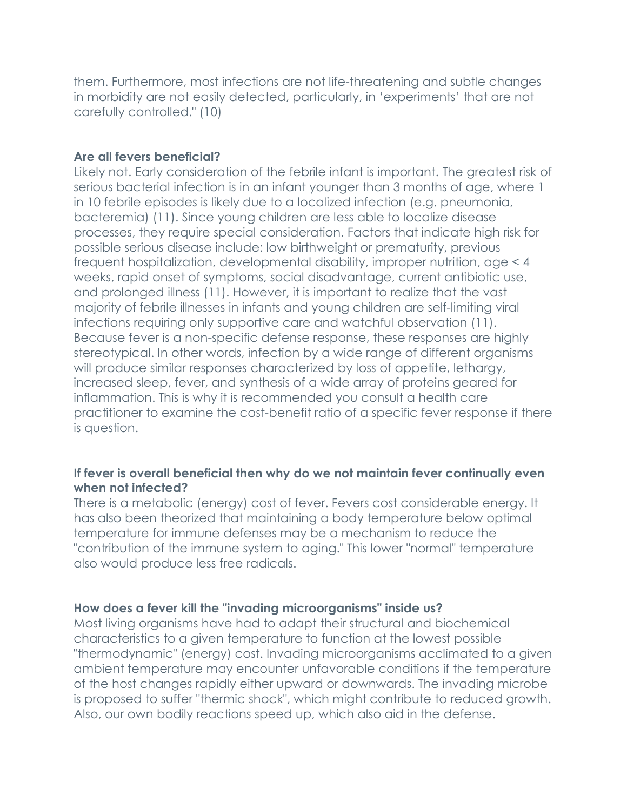them. Furthermore, most infections are not life-threatening and subtle changes in morbidity are not easily detected, particularly, in 'experiments' that are not carefully controlled." (10)

# **Are all fevers beneficial?**

Likely not. Early consideration of the febrile infant is important. The greatest risk of serious bacterial infection is in an infant younger than 3 months of age, where 1 in 10 febrile episodes is likely due to a localized infection (e.g. pneumonia, bacteremia) (11). Since young children are less able to localize disease processes, they require special consideration. Factors that indicate high risk for possible serious disease include: low birthweight or prematurity, previous frequent hospitalization, developmental disability, improper nutrition, age < 4 weeks, rapid onset of symptoms, social disadvantage, current antibiotic use, and prolonged illness (11). However, it is important to realize that the vast majority of febrile illnesses in infants and young children are self-limiting viral infections requiring only supportive care and watchful observation (11). Because fever is a non-specific defense response, these responses are highly stereotypical. In other words, infection by a wide range of different organisms will produce similar responses characterized by loss of appetite, lethargy, increased sleep, fever, and synthesis of a wide array of proteins geared for inflammation. This is why it is recommended you consult a health care practitioner to examine the cost-benefit ratio of a specific fever response if there is question.

# **If fever is overall beneficial then why do we not maintain fever continually even when not infected?**

There is a metabolic (energy) cost of fever. Fevers cost considerable energy. It has also been theorized that maintaining a body temperature below optimal temperature for immune defenses may be a mechanism to reduce the "contribution of the immune system to aging." This lower "normal" temperature also would produce less free radicals.

# **How does a fever kill the "invading microorganisms" inside us?**

Most living organisms have had to adapt their structural and biochemical characteristics to a given temperature to function at the lowest possible "thermodynamic" (energy) cost. Invading microorganisms acclimated to a given ambient temperature may encounter unfavorable conditions if the temperature of the host changes rapidly either upward or downwards. The invading microbe is proposed to suffer "thermic shock", which might contribute to reduced growth. Also, our own bodily reactions speed up, which also aid in the defense.